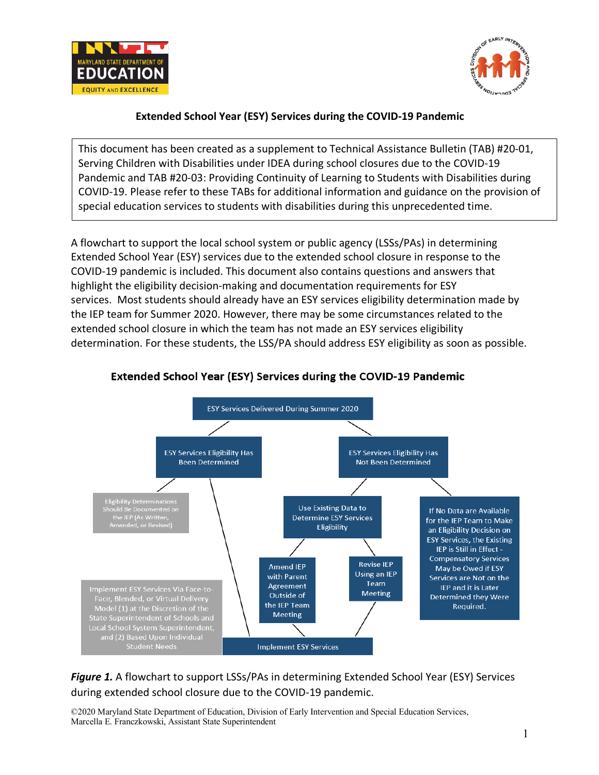



## **Extended School Year (ESY) Services during the COVID-19 Pandemic**

This document has been created as a supplement to Technical Assistance Bulletin (TAB) #20-01, Serving Children with Disabilities under IDEA during school closures due to the COVID-19 Pandemic and TAB #20-03: Providing Continuity of Learning to Students with Disabilities during COVID-19. Please refer to these TABs for additional information and guidance on the provision of special education services to students with disabilities during this unprecedented time.

A flowchart to support the local school system or public agency (LSSs/PAs) in determining Extended School Year (ESY) services due to the extended school closure in response to the COVID-19 pandemic is included. This document also contains questions and answers that highlight the eligibility decision-making and documentation requirements for ESY services. Most students should already have an ESY services eligibility determination made by the IEP team for Summer 2020. However, there may be some circumstances related to the extended school closure in which the team has not made an ESY services eligibility determination. For these students, the LSS/PA should address ESY eligibility as soon as possible.



### **Extended School Year (ESY) Services during the COVID-19 Pandemic**

Figure 1. A flowchart to support LSSs/PAs in determining Extended School Year (ESY) Services during extended school closure due to the COVID-19 pandemic.

©2020 Maryland State Department of Education, Division of Early Intervention and Special Education Services, Marcella E. Franczkowski, Assistant State Superintendent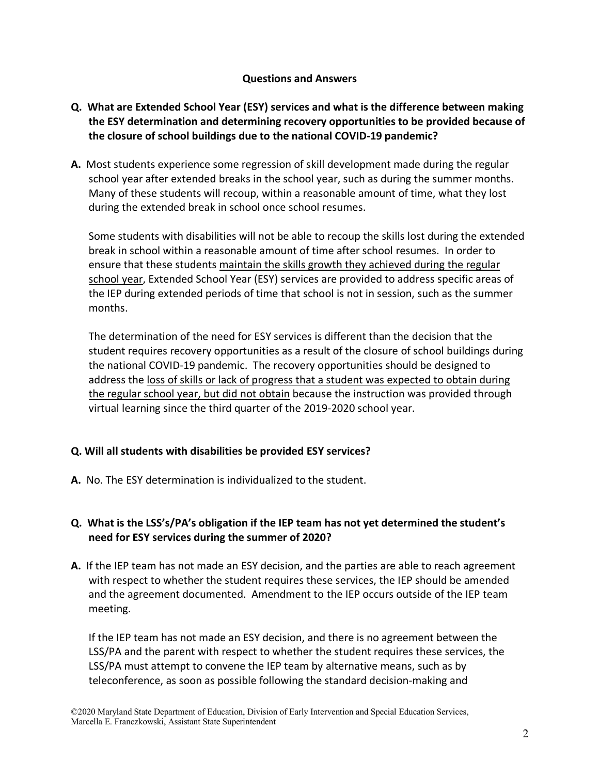#### **Questions and Answers**

- **Q. What are Extended School Year (ESY) services and what is the difference between making the ESY determination and determining recovery opportunities to be provided because of the closure of school buildings due to the national COVID-19 pandemic?**
- **A.** Most students experience some regression of skill development made during the regular school year after extended breaks in the school year, such as during the summer months. Many of these students will recoup, within a reasonable amount of time, what they lost during the extended break in school once school resumes.

Some students with disabilities will not be able to recoup the skills lost during the extended break in school within a reasonable amount of time after school resumes. In order to ensure that these students maintain the skills growth they achieved during the regular school year, Extended School Year (ESY) services are provided to address specific areas of the IEP during extended periods of time that school is not in session, such as the summer months.

The determination of the need for ESY services is different than the decision that the student requires recovery opportunities as a result of the closure of school buildings during the national COVID-19 pandemic. The recovery opportunities should be designed to address the loss of skills or lack of progress that a student was expected to obtain during the regular school year, but did not obtain because the instruction was provided through virtual learning since the third quarter of the 2019-2020 school year.

### **Q. Will all students with disabilities be provided ESY services?**

**A.** No. The ESY determination is individualized to the student.

## **Q. What is the LSS's/PA's obligation if the IEP team has not yet determined the student's need for ESY services during the summer of 2020?**

**A.** If the IEP team has not made an ESY decision, and the parties are able to reach agreement with respect to whether the student requires these services, the IEP should be amended and the agreement documented. Amendment to the IEP occurs outside of the IEP team meeting.

If the IEP team has not made an ESY decision, and there is no agreement between the LSS/PA and the parent with respect to whether the student requires these services, the LSS/PA must attempt to convene the IEP team by alternative means, such as by teleconference, as soon as possible following the standard decision-making and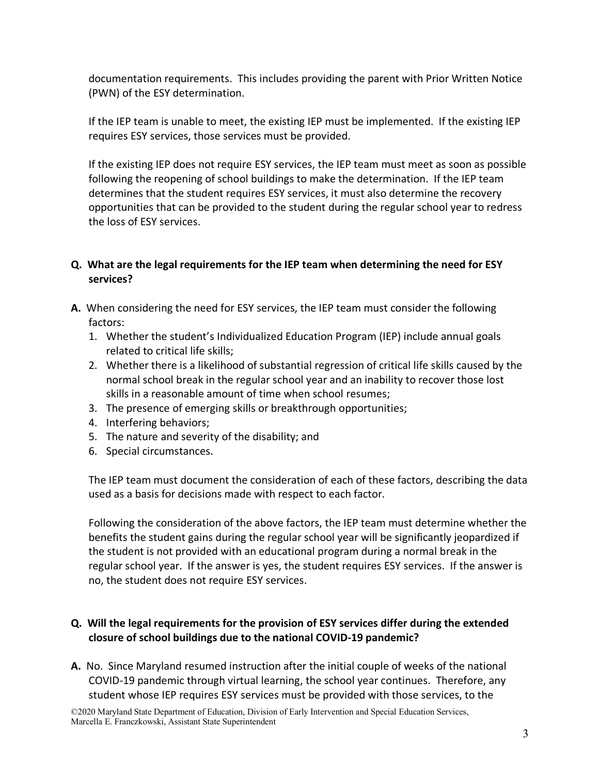documentation requirements. This includes providing the parent with Prior Written Notice (PWN) of the ESY determination.

If the IEP team is unable to meet, the existing IEP must be implemented. If the existing IEP requires ESY services, those services must be provided.

If the existing IEP does not require ESY services, the IEP team must meet as soon as possible following the reopening of school buildings to make the determination. If the IEP team determines that the student requires ESY services, it must also determine the recovery opportunities that can be provided to the student during the regular school year to redress the loss of ESY services.

### **Q. What are the legal requirements for the IEP team when determining the need for ESY services?**

- **A.** When considering the need for ESY services, the IEP team must consider the following factors:
	- 1. Whether the student's Individualized Education Program (IEP) include annual goals related to critical life skills;
	- 2. Whether there is a likelihood of substantial regression of critical life skills caused by the normal school break in the regular school year and an inability to recover those lost skills in a reasonable amount of time when school resumes;
	- 3. The presence of emerging skills or breakthrough opportunities;
	- 4. Interfering behaviors;
	- 5. The nature and severity of the disability; and
	- 6. Special circumstances.

The IEP team must document the consideration of each of these factors, describing the data used as a basis for decisions made with respect to each factor.

Following the consideration of the above factors, the IEP team must determine whether the benefits the student gains during the regular school year will be significantly jeopardized if the student is not provided with an educational program during a normal break in the regular school year. If the answer is yes, the student requires ESY services. If the answer is no, the student does not require ESY services.

# **Q. Will the legal requirements for the provision of ESY services differ during the extended closure of school buildings due to the national COVID-19 pandemic?**

**A.** No. Since Maryland resumed instruction after the initial couple of weeks of the national COVID-19 pandemic through virtual learning, the school year continues. Therefore, any student whose IEP requires ESY services must be provided with those services, to the

©2020 Maryland State Department of Education, Division of Early Intervention and Special Education Services, Marcella E. Franczkowski, Assistant State Superintendent